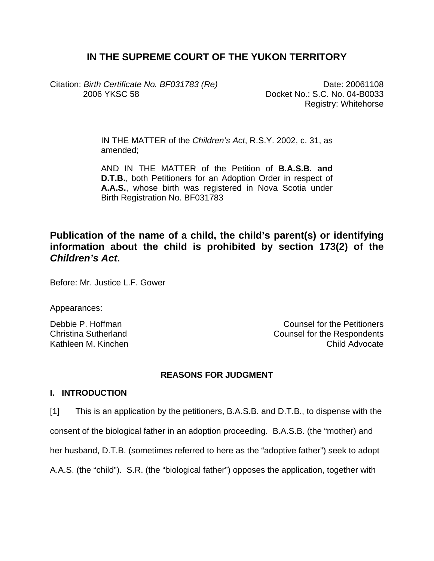# **IN THE SUPREME COURT OF THE YUKON TERRITORY**

Citation: *Birth Certificate No. BF031783 (Re)* 2006 YKSC 58

Date: 20061108 Docket No.: S.C. No. 04-B0033 Registry: Whitehorse

IN THE MATTER of the *Children's Act*, R.S.Y. 2002, c. 31, as amended;

AND IN THE MATTER of the Petition of **B.A.S.B. and D.T.B.**, both Petitioners for an Adoption Order in respect of **A.A.S.**, whose birth was registered in Nova Scotia under Birth Registration No. BF031783

# **Publication of the name of a child, the child's parent(s) or identifying information about the child is prohibited by section 173(2) of the**  *Children's Act***.**

Before: Mr. Justice L.F. Gower

Appearances:

Debbie P. Hoffman Counsel for the Petitioners Christina Sutherland Counsel for the Respondents Kathleen M. Kinchen Child Advocate Child Advocate

## **REASONS FOR JUDGMENT**

## **I. INTRODUCTION**

[1] This is an application by the petitioners, B.A.S.B. and D.T.B., to dispense with the

consent of the biological father in an adoption proceeding. B.A.S.B. (the "mother) and

her husband, D.T.B. (sometimes referred to here as the "adoptive father") seek to adopt

A.A.S. (the "child"). S.R. (the "biological father") opposes the application, together with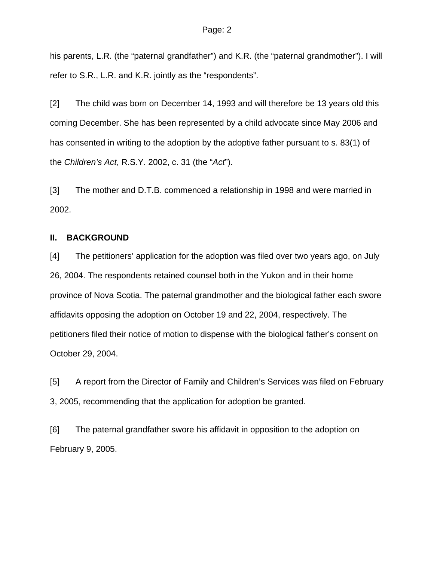his parents, L.R. (the "paternal grandfather") and K.R. (the "paternal grandmother"). I will refer to S.R., L.R. and K.R. jointly as the "respondents".

[2] The child was born on December 14, 1993 and will therefore be 13 years old this coming December. She has been represented by a child advocate since May 2006 and has consented in writing to the adoption by the adoptive father pursuant to s. 83(1) of the *Children's Act*, R.S.Y. 2002, c. 31 (the "*Act*").

[3] The mother and D.T.B. commenced a relationship in 1998 and were married in 2002.

## **II. BACKGROUND**

[4] The petitioners' application for the adoption was filed over two years ago, on July 26, 2004. The respondents retained counsel both in the Yukon and in their home province of Nova Scotia. The paternal grandmother and the biological father each swore affidavits opposing the adoption on October 19 and 22, 2004, respectively. The petitioners filed their notice of motion to dispense with the biological father's consent on October 29, 2004.

[5] A report from the Director of Family and Children's Services was filed on February 3, 2005, recommending that the application for adoption be granted.

[6] The paternal grandfather swore his affidavit in opposition to the adoption on February 9, 2005.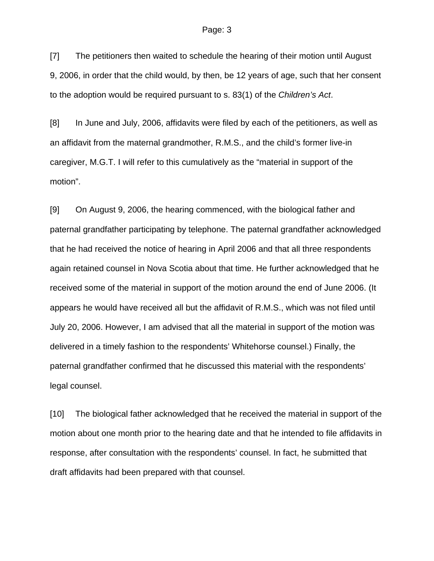[7] The petitioners then waited to schedule the hearing of their motion until August 9, 2006, in order that the child would, by then, be 12 years of age, such that her consent to the adoption would be required pursuant to s. 83(1) of the *Children's Act*.

[8] In June and July, 2006, affidavits were filed by each of the petitioners, as well as an affidavit from the maternal grandmother, R.M.S., and the child's former live-in caregiver, M.G.T. I will refer to this cumulatively as the "material in support of the motion".

[9] On August 9, 2006, the hearing commenced, with the biological father and paternal grandfather participating by telephone. The paternal grandfather acknowledged that he had received the notice of hearing in April 2006 and that all three respondents again retained counsel in Nova Scotia about that time. He further acknowledged that he received some of the material in support of the motion around the end of June 2006. (It appears he would have received all but the affidavit of R.M.S., which was not filed until July 20, 2006. However, I am advised that all the material in support of the motion was delivered in a timely fashion to the respondents' Whitehorse counsel.) Finally, the paternal grandfather confirmed that he discussed this material with the respondents' legal counsel.

[10] The biological father acknowledged that he received the material in support of the motion about one month prior to the hearing date and that he intended to file affidavits in response, after consultation with the respondents' counsel. In fact, he submitted that draft affidavits had been prepared with that counsel.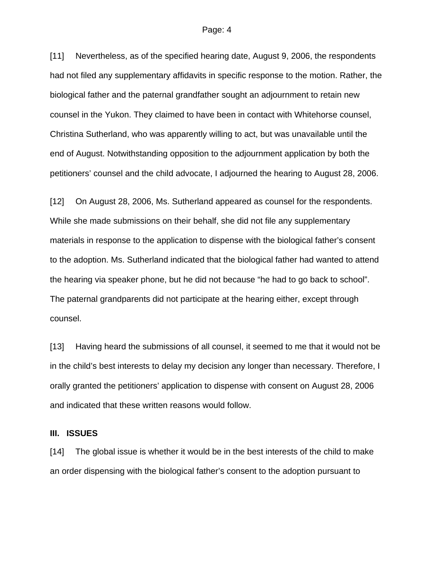[11] Nevertheless, as of the specified hearing date, August 9, 2006, the respondents had not filed any supplementary affidavits in specific response to the motion. Rather, the biological father and the paternal grandfather sought an adjournment to retain new counsel in the Yukon. They claimed to have been in contact with Whitehorse counsel, Christina Sutherland, who was apparently willing to act, but was unavailable until the end of August. Notwithstanding opposition to the adjournment application by both the petitioners' counsel and the child advocate, I adjourned the hearing to August 28, 2006.

[12] On August 28, 2006, Ms. Sutherland appeared as counsel for the respondents. While she made submissions on their behalf, she did not file any supplementary materials in response to the application to dispense with the biological father's consent to the adoption. Ms. Sutherland indicated that the biological father had wanted to attend the hearing via speaker phone, but he did not because "he had to go back to school". The paternal grandparents did not participate at the hearing either, except through counsel.

[13] Having heard the submissions of all counsel, it seemed to me that it would not be in the child's best interests to delay my decision any longer than necessary. Therefore, I orally granted the petitioners' application to dispense with consent on August 28, 2006 and indicated that these written reasons would follow.

### **III. ISSUES**

[14] The global issue is whether it would be in the best interests of the child to make an order dispensing with the biological father's consent to the adoption pursuant to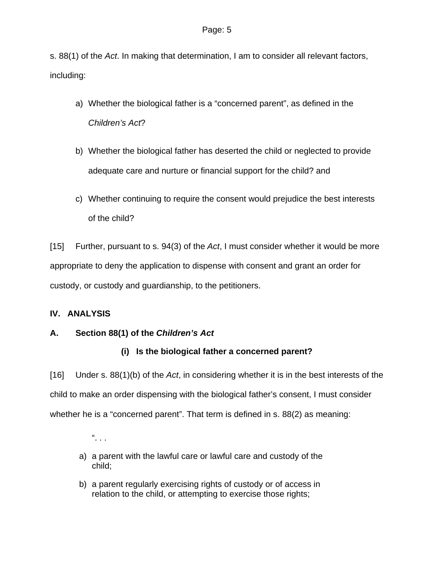s. 88(1) of the *Act*. In making that determination, I am to consider all relevant factors, including:

- a) Whether the biological father is a "concerned parent", as defined in the *Children's Act*?
- b) Whether the biological father has deserted the child or neglected to provide adequate care and nurture or financial support for the child? and
- c) Whether continuing to require the consent would prejudice the best interests of the child?

[15] Further, pursuant to s. 94(3) of the *Act*, I must consider whether it would be more appropriate to deny the application to dispense with consent and grant an order for custody, or custody and guardianship, to the petitioners.

# **IV. ANALYSIS**

# **A. Section 88(1) of the** *Children's Act*

# **(i) Is the biological father a concerned parent?**

[16] Under s. 88(1)(b) of the *Act*, in considering whether it is in the best interests of the child to make an order dispensing with the biological father's consent, I must consider whether he is a "concerned parent". That term is defined in s. 88(2) as meaning:

 $\frac{a}{a}$ .

- a) a parent with the lawful care or lawful care and custody of the child;
- b) a parent regularly exercising rights of custody or of access in relation to the child, or attempting to exercise those rights;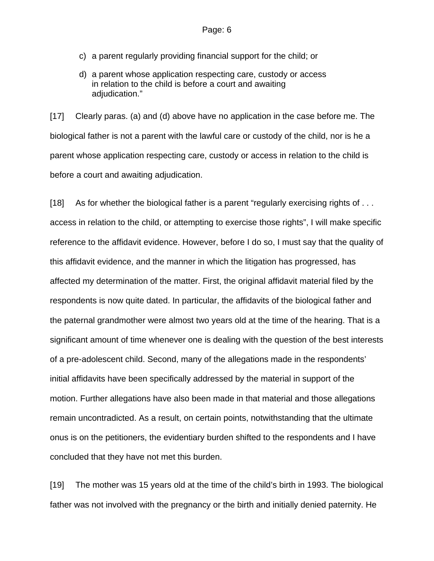- c) a parent regularly providing financial support for the child; or
- d) a parent whose application respecting care, custody or access in relation to the child is before a court and awaiting adiudication."

[17] Clearly paras. (a) and (d) above have no application in the case before me. The biological father is not a parent with the lawful care or custody of the child, nor is he a parent whose application respecting care, custody or access in relation to the child is before a court and awaiting adjudication.

[18] As for whether the biological father is a parent "regularly exercising rights of ... access in relation to the child, or attempting to exercise those rights", I will make specific reference to the affidavit evidence. However, before I do so, I must say that the quality of this affidavit evidence, and the manner in which the litigation has progressed, has affected my determination of the matter. First, the original affidavit material filed by the respondents is now quite dated. In particular, the affidavits of the biological father and the paternal grandmother were almost two years old at the time of the hearing. That is a significant amount of time whenever one is dealing with the question of the best interests of a pre-adolescent child. Second, many of the allegations made in the respondents' initial affidavits have been specifically addressed by the material in support of the motion. Further allegations have also been made in that material and those allegations remain uncontradicted. As a result, on certain points, notwithstanding that the ultimate onus is on the petitioners, the evidentiary burden shifted to the respondents and I have concluded that they have not met this burden.

[19] The mother was 15 years old at the time of the child's birth in 1993. The biological father was not involved with the pregnancy or the birth and initially denied paternity. He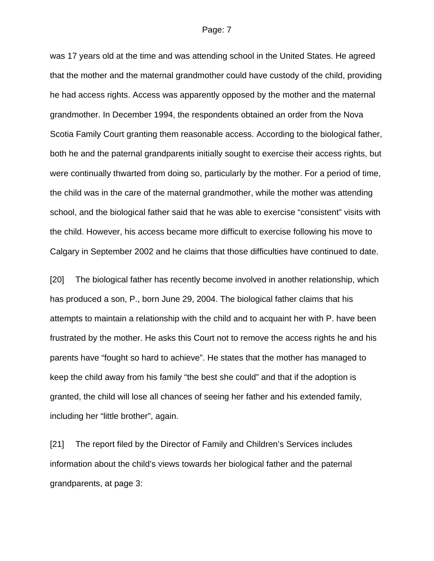was 17 years old at the time and was attending school in the United States. He agreed that the mother and the maternal grandmother could have custody of the child, providing he had access rights. Access was apparently opposed by the mother and the maternal grandmother. In December 1994, the respondents obtained an order from the Nova Scotia Family Court granting them reasonable access. According to the biological father, both he and the paternal grandparents initially sought to exercise their access rights, but were continually thwarted from doing so, particularly by the mother. For a period of time, the child was in the care of the maternal grandmother, while the mother was attending school, and the biological father said that he was able to exercise "consistent" visits with the child. However, his access became more difficult to exercise following his move to Calgary in September 2002 and he claims that those difficulties have continued to date.

[20] The biological father has recently become involved in another relationship, which has produced a son, P., born June 29, 2004. The biological father claims that his attempts to maintain a relationship with the child and to acquaint her with P. have been frustrated by the mother. He asks this Court not to remove the access rights he and his parents have "fought so hard to achieve". He states that the mother has managed to keep the child away from his family "the best she could" and that if the adoption is granted, the child will lose all chances of seeing her father and his extended family, including her "little brother", again.

[21] The report filed by the Director of Family and Children's Services includes information about the child's views towards her biological father and the paternal grandparents, at page 3: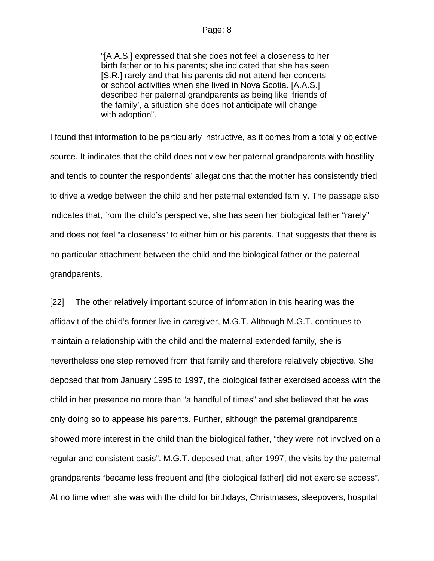"[A.A.S.] expressed that she does not feel a closeness to her birth father or to his parents; she indicated that she has seen [S.R.] rarely and that his parents did not attend her concerts or school activities when she lived in Nova Scotia. [A.A.S.] described her paternal grandparents as being like 'friends of the family', a situation she does not anticipate will change with adoption".

I found that information to be particularly instructive, as it comes from a totally objective source. It indicates that the child does not view her paternal grandparents with hostility and tends to counter the respondents' allegations that the mother has consistently tried to drive a wedge between the child and her paternal extended family. The passage also indicates that, from the child's perspective, she has seen her biological father "rarely" and does not feel "a closeness" to either him or his parents. That suggests that there is no particular attachment between the child and the biological father or the paternal grandparents.

[22] The other relatively important source of information in this hearing was the affidavit of the child's former live-in caregiver, M.G.T. Although M.G.T. continues to maintain a relationship with the child and the maternal extended family, she is nevertheless one step removed from that family and therefore relatively objective. She deposed that from January 1995 to 1997, the biological father exercised access with the child in her presence no more than "a handful of times" and she believed that he was only doing so to appease his parents. Further, although the paternal grandparents showed more interest in the child than the biological father, "they were not involved on a regular and consistent basis". M.G.T. deposed that, after 1997, the visits by the paternal grandparents "became less frequent and [the biological father] did not exercise access". At no time when she was with the child for birthdays, Christmases, sleepovers, hospital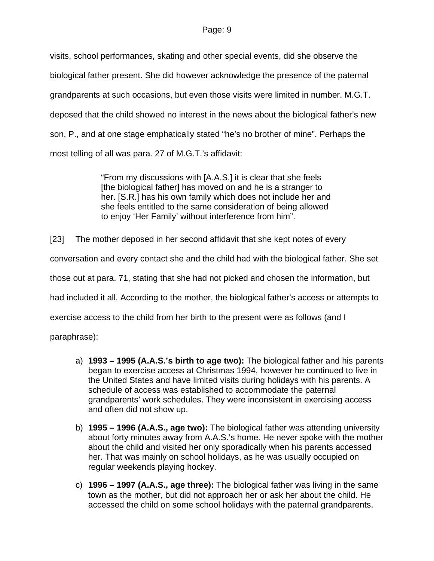visits, school performances, skating and other special events, did she observe the biological father present. She did however acknowledge the presence of the paternal grandparents at such occasions, but even those visits were limited in number. M.G.T. deposed that the child showed no interest in the news about the biological father's new son, P., and at one stage emphatically stated "he's no brother of mine". Perhaps the most telling of all was para. 27 of M.G.T.'s affidavit:

> "From my discussions with [A.A.S.] it is clear that she feels [the biological father] has moved on and he is a stranger to her. [S.R.] has his own family which does not include her and she feels entitled to the same consideration of being allowed to enjoy 'Her Family' without interference from him".

[23] The mother deposed in her second affidavit that she kept notes of every

conversation and every contact she and the child had with the biological father. She set

those out at para. 71, stating that she had not picked and chosen the information, but

had included it all. According to the mother, the biological father's access or attempts to

exercise access to the child from her birth to the present were as follows (and I

paraphrase):

- a) **1993 1995 (A.A.S.'s birth to age two):** The biological father and his parents began to exercise access at Christmas 1994, however he continued to live in the United States and have limited visits during holidays with his parents. A schedule of access was established to accommodate the paternal grandparents' work schedules. They were inconsistent in exercising access and often did not show up.
- b) **1995 1996 (A.A.S., age two):** The biological father was attending university about forty minutes away from A.A.S.'s home. He never spoke with the mother about the child and visited her only sporadically when his parents accessed her. That was mainly on school holidays, as he was usually occupied on regular weekends playing hockey.
- c) **1996 1997 (A.A.S., age three):** The biological father was living in the same town as the mother, but did not approach her or ask her about the child. He accessed the child on some school holidays with the paternal grandparents.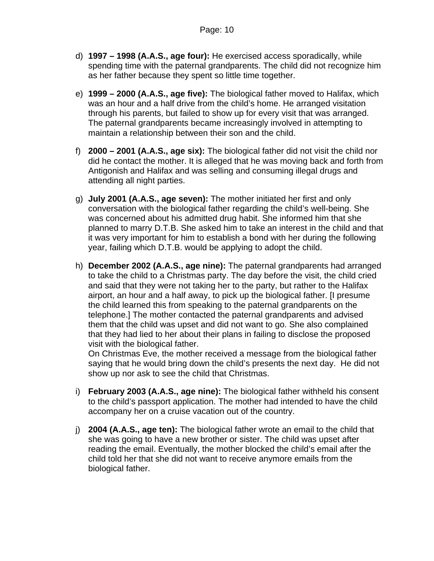- d) **1997 1998 (A.A.S., age four):** He exercised access sporadically, while spending time with the paternal grandparents. The child did not recognize him as her father because they spent so little time together.
- e) **1999 2000 (A.A.S., age five):** The biological father moved to Halifax, which was an hour and a half drive from the child's home. He arranged visitation through his parents, but failed to show up for every visit that was arranged. The paternal grandparents became increasingly involved in attempting to maintain a relationship between their son and the child.
- f) **2000 2001 (A.A.S., age six):** The biological father did not visit the child nor did he contact the mother. It is alleged that he was moving back and forth from Antigonish and Halifax and was selling and consuming illegal drugs and attending all night parties.
- g) **July 2001 (A.A.S., age seven):** The mother initiated her first and only conversation with the biological father regarding the child's well-being. She was concerned about his admitted drug habit. She informed him that she planned to marry D.T.B. She asked him to take an interest in the child and that it was very important for him to establish a bond with her during the following year, failing which D.T.B. would be applying to adopt the child.
- h) **December 2002 (A.A.S., age nine):** The paternal grandparents had arranged to take the child to a Christmas party. The day before the visit, the child cried and said that they were not taking her to the party, but rather to the Halifax airport, an hour and a half away, to pick up the biological father. [I presume the child learned this from speaking to the paternal grandparents on the telephone.] The mother contacted the paternal grandparents and advised them that the child was upset and did not want to go. She also complained that they had lied to her about their plans in failing to disclose the proposed visit with the biological father.

On Christmas Eve, the mother received a message from the biological father saying that he would bring down the child's presents the next day. He did not show up nor ask to see the child that Christmas.

- i) **February 2003 (A.A.S., age nine):** The biological father withheld his consent to the child's passport application. The mother had intended to have the child accompany her on a cruise vacation out of the country.
- j) **2004 (A.A.S., age ten):** The biological father wrote an email to the child that she was going to have a new brother or sister. The child was upset after reading the email. Eventually, the mother blocked the child's email after the child told her that she did not want to receive anymore emails from the biological father.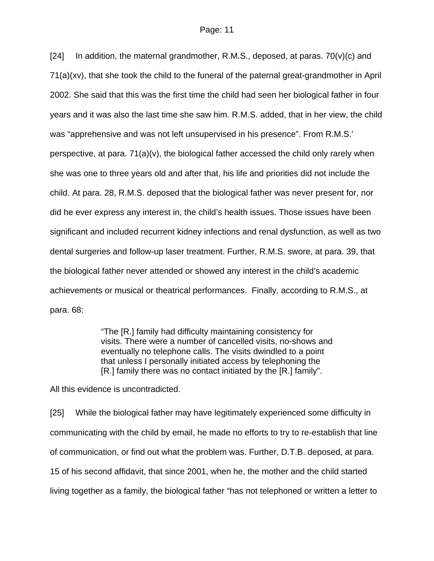[24] In addition, the maternal grandmother, R.M.S., deposed, at paras.  $70(v)(c)$  and 71(a)(xv), that she took the child to the funeral of the paternal great-grandmother in April 2002. She said that this was the first time the child had seen her biological father in four years and it was also the last time she saw him. R.M.S. added, that in her view, the child was "apprehensive and was not left unsupervised in his presence". From R.M.S.' perspective, at para. 71(a)(v), the biological father accessed the child only rarely when she was one to three years old and after that, his life and priorities did not include the child. At para. 28, R.M.S. deposed that the biological father was never present for, nor did he ever express any interest in, the child's health issues. Those issues have been significant and included recurrent kidney infections and renal dysfunction, as well as two dental surgeries and follow-up laser treatment. Further, R.M.S. swore, at para. 39, that the biological father never attended or showed any interest in the child's academic achievements or musical or theatrical performances. Finally, according to R.M.S., at para. 68:

> "The [R.] family had difficulty maintaining consistency for visits. There were a number of cancelled visits, no-shows and eventually no telephone calls. The visits dwindled to a point that unless I personally initiated access by telephoning the [R.] family there was no contact initiated by the [R.] family".

All this evidence is uncontradicted.

[25] While the biological father may have legitimately experienced some difficulty in communicating with the child by email, he made no efforts to try to re-establish that line of communication, or find out what the problem was. Further, D.T.B. deposed, at para. 15 of his second affidavit, that since 2001, when he, the mother and the child started living together as a family, the biological father "has not telephoned or written a letter to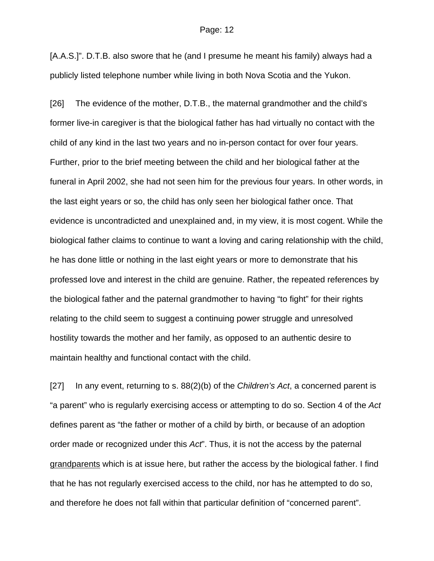[A.A.S.]". D.T.B. also swore that he (and I presume he meant his family) always had a publicly listed telephone number while living in both Nova Scotia and the Yukon.

[26] The evidence of the mother, D.T.B., the maternal grandmother and the child's former live-in caregiver is that the biological father has had virtually no contact with the child of any kind in the last two years and no in-person contact for over four years. Further, prior to the brief meeting between the child and her biological father at the funeral in April 2002, she had not seen him for the previous four years. In other words, in the last eight years or so, the child has only seen her biological father once. That evidence is uncontradicted and unexplained and, in my view, it is most cogent. While the biological father claims to continue to want a loving and caring relationship with the child, he has done little or nothing in the last eight years or more to demonstrate that his professed love and interest in the child are genuine. Rather, the repeated references by the biological father and the paternal grandmother to having "to fight" for their rights relating to the child seem to suggest a continuing power struggle and unresolved hostility towards the mother and her family, as opposed to an authentic desire to maintain healthy and functional contact with the child.

[27] In any event, returning to s. 88(2)(b) of the *Children's Act*, a concerned parent is "a parent" who is regularly exercising access or attempting to do so. Section 4 of the *Act* defines parent as "the father or mother of a child by birth, or because of an adoption order made or recognized under this *Act*". Thus, it is not the access by the paternal grandparents which is at issue here, but rather the access by the biological father. I find that he has not regularly exercised access to the child, nor has he attempted to do so, and therefore he does not fall within that particular definition of "concerned parent".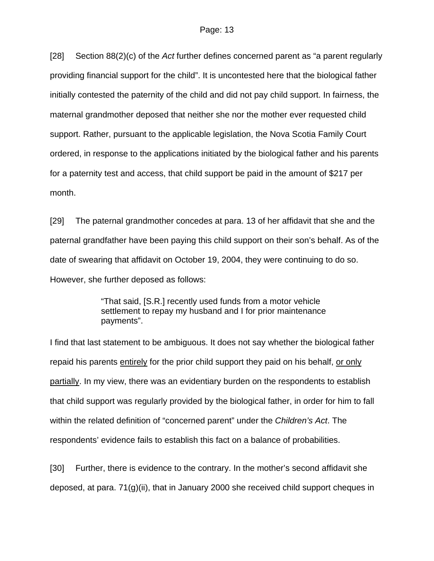[28] Section 88(2)(c) of the *Act* further defines concerned parent as "a parent regularly providing financial support for the child". It is uncontested here that the biological father initially contested the paternity of the child and did not pay child support. In fairness, the maternal grandmother deposed that neither she nor the mother ever requested child support. Rather, pursuant to the applicable legislation, the Nova Scotia Family Court ordered, in response to the applications initiated by the biological father and his parents for a paternity test and access, that child support be paid in the amount of \$217 per month.

[29] The paternal grandmother concedes at para. 13 of her affidavit that she and the paternal grandfather have been paying this child support on their son's behalf. As of the date of swearing that affidavit on October 19, 2004, they were continuing to do so. However, she further deposed as follows:

> "That said, [S.R.] recently used funds from a motor vehicle settlement to repay my husband and I for prior maintenance payments".

I find that last statement to be ambiguous. It does not say whether the biological father repaid his parents entirely for the prior child support they paid on his behalf, or only partially. In my view, there was an evidentiary burden on the respondents to establish that child support was regularly provided by the biological father, in order for him to fall within the related definition of "concerned parent" under the *Children's Act*. The respondents' evidence fails to establish this fact on a balance of probabilities.

[30] Further, there is evidence to the contrary. In the mother's second affidavit she deposed, at para. 71(g)(ii), that in January 2000 she received child support cheques in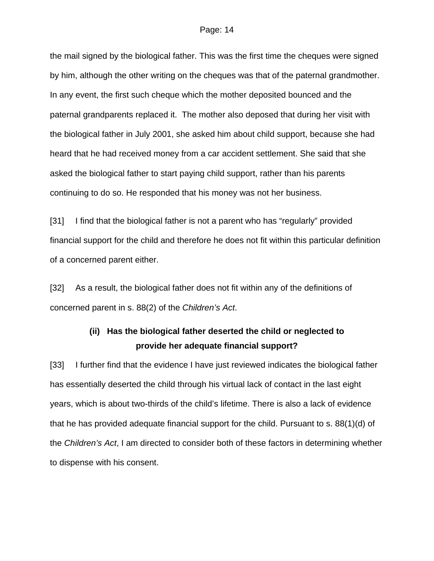the mail signed by the biological father. This was the first time the cheques were signed by him, although the other writing on the cheques was that of the paternal grandmother. In any event, the first such cheque which the mother deposited bounced and the paternal grandparents replaced it. The mother also deposed that during her visit with the biological father in July 2001, she asked him about child support, because she had heard that he had received money from a car accident settlement. She said that she asked the biological father to start paying child support, rather than his parents continuing to do so. He responded that his money was not her business.

[31] I find that the biological father is not a parent who has "regularly" provided financial support for the child and therefore he does not fit within this particular definition of a concerned parent either.

[32] As a result, the biological father does not fit within any of the definitions of concerned parent in s. 88(2) of the *Children's Act*.

# **(ii) Has the biological father deserted the child or neglected to provide her adequate financial support?**

[33] I further find that the evidence I have just reviewed indicates the biological father has essentially deserted the child through his virtual lack of contact in the last eight years, which is about two-thirds of the child's lifetime. There is also a lack of evidence that he has provided adequate financial support for the child. Pursuant to s. 88(1)(d) of the *Children's Act*, I am directed to consider both of these factors in determining whether to dispense with his consent.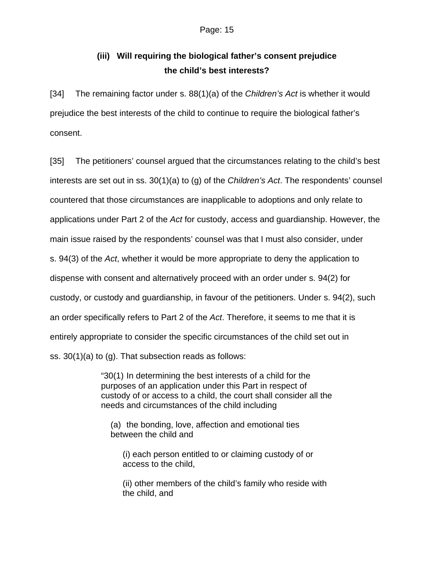# **(iii) Will requiring the biological father's consent prejudice the child's best interests?**

[34] The remaining factor under s. 88(1)(a) of the *Children's Act* is whether it would prejudice the best interests of the child to continue to require the biological father's consent.

[35] The petitioners' counsel argued that the circumstances relating to the child's best interests are set out in ss. 30(1)(a) to (g) of the *Children's Act*. The respondents' counsel countered that those circumstances are inapplicable to adoptions and only relate to applications under Part 2 of the *Act* for custody, access and guardianship. However, the main issue raised by the respondents' counsel was that I must also consider, under s. 94(3) of the *Act*, whether it would be more appropriate to deny the application to dispense with consent and alternatively proceed with an order under s. 94(2) for custody, or custody and guardianship, in favour of the petitioners. Under s. 94(2), such an order specifically refers to Part 2 of the *Act*. Therefore, it seems to me that it is entirely appropriate to consider the specific circumstances of the child set out in ss. 30(1)(a) to (g). That subsection reads as follows:

> "30(1) In determining the best interests of a child for the purposes of an application under this Part in respect of custody of or access to a child, the court shall consider all the needs and circumstances of the child including

(a) the bonding, love, affection and emotional ties between the child and

(i) each person entitled to or claiming custody of or access to the child,

(ii) other members of the child's family who reside with the child, and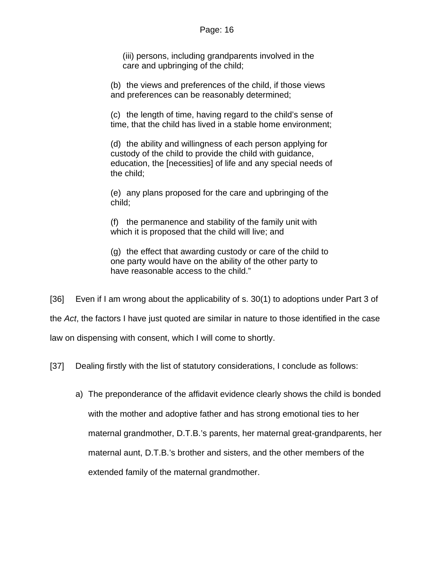(iii) persons, including grandparents involved in the care and upbringing of the child;

(b) the views and preferences of the child, if those views and preferences can be reasonably determined;

(c) the length of time, having regard to the child's sense of time, that the child has lived in a stable home environment;

(d) the ability and willingness of each person applying for custody of the child to provide the child with guidance, education, the [necessities] of life and any special needs of the child;

(e) any plans proposed for the care and upbringing of the child;

(f) the permanence and stability of the family unit with which it is proposed that the child will live; and

(g) the effect that awarding custody or care of the child to one party would have on the ability of the other party to have reasonable access to the child."

[36] Even if I am wrong about the applicability of s. 30(1) to adoptions under Part 3 of the *Act*, the factors I have just quoted are similar in nature to those identified in the case law on dispensing with consent, which I will come to shortly.

[37] Dealing firstly with the list of statutory considerations, I conclude as follows:

a) The preponderance of the affidavit evidence clearly shows the child is bonded with the mother and adoptive father and has strong emotional ties to her maternal grandmother, D.T.B.'s parents, her maternal great-grandparents, her maternal aunt, D.T.B.'s brother and sisters, and the other members of the extended family of the maternal grandmother.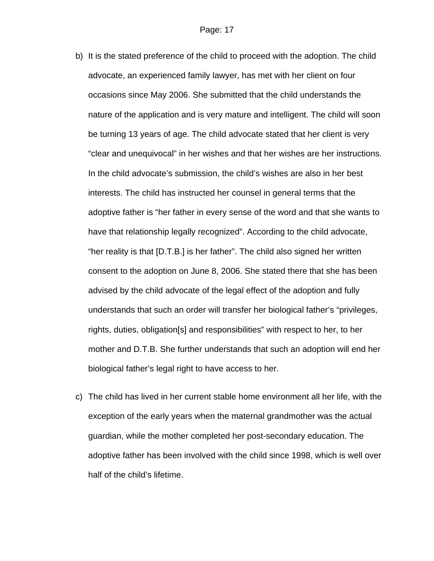- b) It is the stated preference of the child to proceed with the adoption. The child advocate, an experienced family lawyer, has met with her client on four occasions since May 2006. She submitted that the child understands the nature of the application and is very mature and intelligent. The child will soon be turning 13 years of age. The child advocate stated that her client is very "clear and unequivocal" in her wishes and that her wishes are her instructions. In the child advocate's submission, the child's wishes are also in her best interests. The child has instructed her counsel in general terms that the adoptive father is "her father in every sense of the word and that she wants to have that relationship legally recognized". According to the child advocate, "her reality is that [D.T.B.] is her father". The child also signed her written consent to the adoption on June 8, 2006. She stated there that she has been advised by the child advocate of the legal effect of the adoption and fully understands that such an order will transfer her biological father's "privileges, rights, duties, obligation[s] and responsibilities" with respect to her, to her mother and D.T.B. She further understands that such an adoption will end her biological father's legal right to have access to her.
- c) The child has lived in her current stable home environment all her life, with the exception of the early years when the maternal grandmother was the actual guardian, while the mother completed her post-secondary education. The adoptive father has been involved with the child since 1998, which is well over half of the child's lifetime.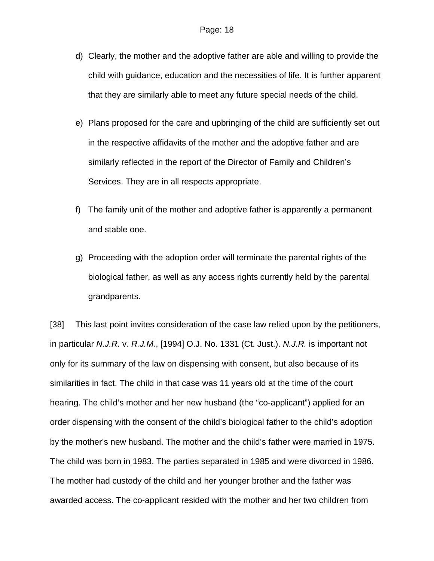- d) Clearly, the mother and the adoptive father are able and willing to provide the child with guidance, education and the necessities of life. It is further apparent that they are similarly able to meet any future special needs of the child.
- e) Plans proposed for the care and upbringing of the child are sufficiently set out in the respective affidavits of the mother and the adoptive father and are similarly reflected in the report of the Director of Family and Children's Services. They are in all respects appropriate.
- f) The family unit of the mother and adoptive father is apparently a permanent and stable one.
- g) Proceeding with the adoption order will terminate the parental rights of the biological father, as well as any access rights currently held by the parental grandparents.

[38] This last point invites consideration of the case law relied upon by the petitioners, in particular *N.J.R.* v. *R.J.M.*, [1994] O.J. No. 1331 (Ct. Just.). *N.J.R.* is important not only for its summary of the law on dispensing with consent, but also because of its similarities in fact. The child in that case was 11 years old at the time of the court hearing. The child's mother and her new husband (the "co-applicant") applied for an order dispensing with the consent of the child's biological father to the child's adoption by the mother's new husband. The mother and the child's father were married in 1975. The child was born in 1983. The parties separated in 1985 and were divorced in 1986. The mother had custody of the child and her younger brother and the father was awarded access. The co-applicant resided with the mother and her two children from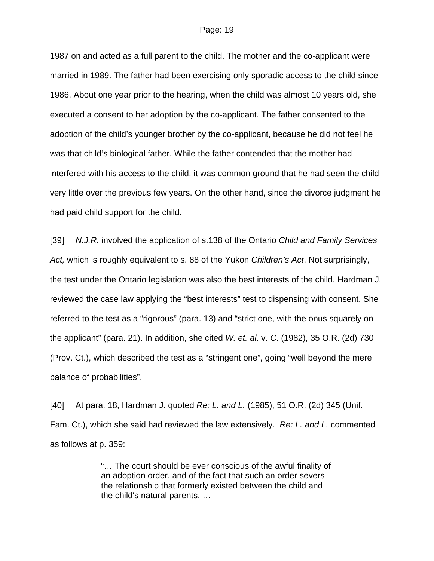1987 on and acted as a full parent to the child. The mother and the co-applicant were married in 1989. The father had been exercising only sporadic access to the child since 1986. About one year prior to the hearing, when the child was almost 10 years old, she executed a consent to her adoption by the co-applicant. The father consented to the adoption of the child's younger brother by the co-applicant, because he did not feel he was that child's biological father. While the father contended that the mother had interfered with his access to the child, it was common ground that he had seen the child very little over the previous few years. On the other hand, since the divorce judgment he had paid child support for the child.

[39] *N.J.R.* involved the application of s.138 of the Ontario *Child and Family Services Act,* which is roughly equivalent to s. 88 of the Yukon *Children's Act*. Not surprisingly, the test under the Ontario legislation was also the best interests of the child. Hardman J. reviewed the case law applying the "best interests" test to dispensing with consent. She referred to the test as a "rigorous" (para. 13) and "strict one, with the onus squarely on the applicant" (para. 21). In addition, she cited *W. et. al*. v. *C*. (1982), 35 O.R. (2d) 730 (Prov. Ct.), which described the test as a "stringent one", going "well beyond the mere balance of probabilities".

[40] At para. 18, Hardman J. quoted *Re: L. and L.* (1985), 51 O.R. (2d) 345 (Unif. Fam. Ct.), which she said had reviewed the law extensively. *Re: L. and L.* commented as follows at p. 359:

> "… The court should be ever conscious of the awful finality of an adoption order, and of the fact that such an order severs the relationship that formerly existed between the child and the child's natural parents. …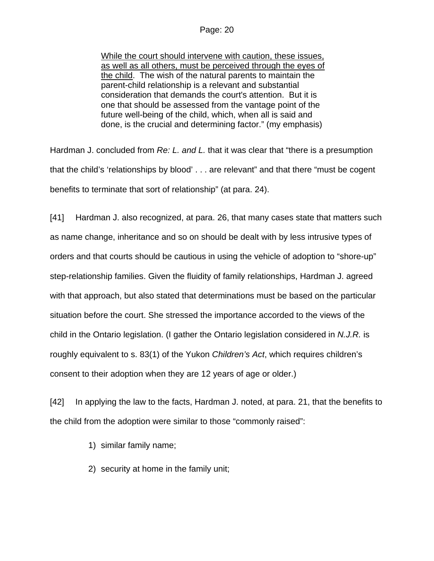While the court should intervene with caution, these issues, as well as all others, must be perceived through the eyes of the child. The wish of the natural parents to maintain the parent-child relationship is a relevant and substantial consideration that demands the court's attention. But it is one that should be assessed from the vantage point of the future well-being of the child, which, when all is said and done, is the crucial and determining factor." (my emphasis)

Hardman J. concluded from *Re: L. and L.* that it was clear that "there is a presumption that the child's 'relationships by blood' . . . are relevant" and that there "must be cogent benefits to terminate that sort of relationship" (at para. 24).

[41] Hardman J. also recognized, at para. 26, that many cases state that matters such as name change, inheritance and so on should be dealt with by less intrusive types of orders and that courts should be cautious in using the vehicle of adoption to "shore-up" step-relationship families. Given the fluidity of family relationships, Hardman J. agreed with that approach, but also stated that determinations must be based on the particular situation before the court. She stressed the importance accorded to the views of the child in the Ontario legislation. (I gather the Ontario legislation considered in *N.J.R.* is roughly equivalent to s. 83(1) of the Yukon *Children's Act*, which requires children's consent to their adoption when they are 12 years of age or older.)

[42] In applying the law to the facts, Hardman J. noted, at para. 21, that the benefits to the child from the adoption were similar to those "commonly raised":

- 1) similar family name;
- 2) security at home in the family unit;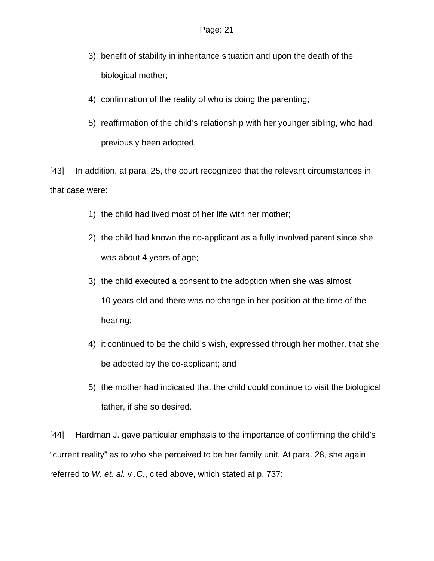- 3) benefit of stability in inheritance situation and upon the death of the biological mother;
- 4) confirmation of the reality of who is doing the parenting;
- 5) reaffirmation of the child's relationship with her younger sibling, who had previously been adopted.

[43] In addition, at para. 25, the court recognized that the relevant circumstances in that case were:

- 1) the child had lived most of her life with her mother;
- 2) the child had known the co-applicant as a fully involved parent since she was about 4 years of age;
- 3) the child executed a consent to the adoption when she was almost 10 years old and there was no change in her position at the time of the hearing;
- 4) it continued to be the child's wish, expressed through her mother, that she be adopted by the co-applicant; and
- 5) the mother had indicated that the child could continue to visit the biological father, if she so desired.

[44] Hardman J. gave particular emphasis to the importance of confirming the child's "current reality" as to who she perceived to be her family unit. At para. 28, she again referred to *W. et. al.* v *.C.*, cited above, which stated at p. 737: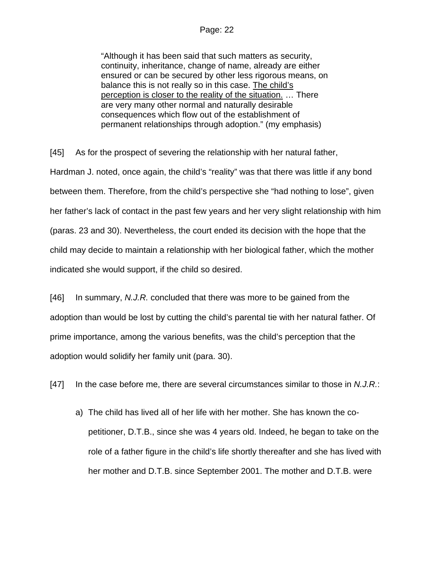"Although it has been said that such matters as security, continuity, inheritance, change of name, already are either ensured or can be secured by other less rigorous means, on balance this is not really so in this case. The child's perception is closer to the reality of the situation. … There are very many other normal and naturally desirable consequences which flow out of the establishment of permanent relationships through adoption." (my emphasis)

[45] As for the prospect of severing the relationship with her natural father, Hardman J. noted, once again, the child's "reality" was that there was little if any bond between them. Therefore, from the child's perspective she "had nothing to lose", given her father's lack of contact in the past few years and her very slight relationship with him (paras. 23 and 30). Nevertheless, the court ended its decision with the hope that the child may decide to maintain a relationship with her biological father, which the mother indicated she would support, if the child so desired.

[46] In summary, *N.J.R.* concluded that there was more to be gained from the adoption than would be lost by cutting the child's parental tie with her natural father. Of prime importance, among the various benefits, was the child's perception that the adoption would solidify her family unit (para. 30).

[47] In the case before me, there are several circumstances similar to those in *N.J.R.*:

a) The child has lived all of her life with her mother. She has known the copetitioner, D.T.B., since she was 4 years old. Indeed, he began to take on the role of a father figure in the child's life shortly thereafter and she has lived with her mother and D.T.B. since September 2001. The mother and D.T.B. were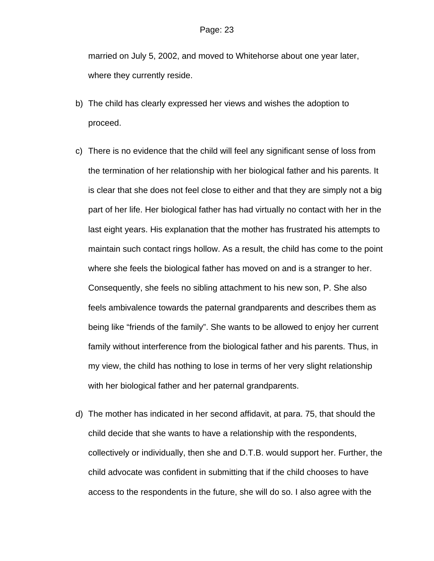married on July 5, 2002, and moved to Whitehorse about one year later, where they currently reside.

- b) The child has clearly expressed her views and wishes the adoption to proceed.
- c) There is no evidence that the child will feel any significant sense of loss from the termination of her relationship with her biological father and his parents. It is clear that she does not feel close to either and that they are simply not a big part of her life. Her biological father has had virtually no contact with her in the last eight years. His explanation that the mother has frustrated his attempts to maintain such contact rings hollow. As a result, the child has come to the point where she feels the biological father has moved on and is a stranger to her. Consequently, she feels no sibling attachment to his new son, P. She also feels ambivalence towards the paternal grandparents and describes them as being like "friends of the family". She wants to be allowed to enjoy her current family without interference from the biological father and his parents. Thus, in my view, the child has nothing to lose in terms of her very slight relationship with her biological father and her paternal grandparents.
- d) The mother has indicated in her second affidavit, at para. 75, that should the child decide that she wants to have a relationship with the respondents, collectively or individually, then she and D.T.B. would support her. Further, the child advocate was confident in submitting that if the child chooses to have access to the respondents in the future, she will do so. I also agree with the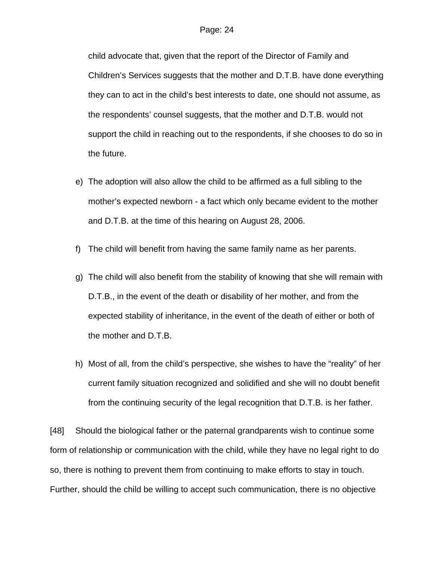child advocate that, given that the report of the Director of Family and Children's Services suggests that the mother and D.T.B. have done everything they can to act in the child's best interests to date, one should not assume, as the respondents' counsel suggests, that the mother and D.T.B. would not support the child in reaching out to the respondents, if she chooses to do so in the future.

- e) The adoption will also allow the child to be affirmed as a full sibling to the mother's expected newborn - a fact which only became evident to the mother and D.T.B. at the time of this hearing on August 28, 2006.
- f) The child will benefit from having the same family name as her parents.
- g) The child will also benefit from the stability of knowing that she will remain with D.T.B., in the event of the death or disability of her mother, and from the expected stability of inheritance, in the event of the death of either or both of the mother and D.T.B.
- h) Most of all, from the child's perspective, she wishes to have the "reality" of her current family situation recognized and solidified and she will no doubt benefit from the continuing security of the legal recognition that D.T.B. is her father.

[48] Should the biological father or the paternal grandparents wish to continue some form of relationship or communication with the child, while they have no legal right to do so, there is nothing to prevent them from continuing to make efforts to stay in touch. Further, should the child be willing to accept such communication, there is no objective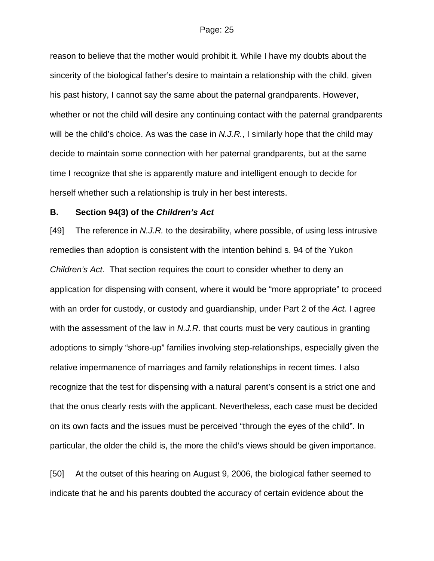reason to believe that the mother would prohibit it. While I have my doubts about the sincerity of the biological father's desire to maintain a relationship with the child, given his past history, I cannot say the same about the paternal grandparents. However, whether or not the child will desire any continuing contact with the paternal grandparents will be the child's choice. As was the case in *N.J.R.*, I similarly hope that the child may decide to maintain some connection with her paternal grandparents, but at the same time I recognize that she is apparently mature and intelligent enough to decide for herself whether such a relationship is truly in her best interests.

## **B. Section 94(3) of the** *Children's Act*

[49] The reference in *N.J.R.* to the desirability, where possible, of using less intrusive remedies than adoption is consistent with the intention behind s. 94 of the Yukon *Children's Act*. That section requires the court to consider whether to deny an application for dispensing with consent, where it would be "more appropriate" to proceed with an order for custody, or custody and guardianship, under Part 2 of the *Act.* I agree with the assessment of the law in *N.J.R.* that courts must be very cautious in granting adoptions to simply "shore-up" families involving step-relationships, especially given the relative impermanence of marriages and family relationships in recent times. I also recognize that the test for dispensing with a natural parent's consent is a strict one and that the onus clearly rests with the applicant. Nevertheless, each case must be decided on its own facts and the issues must be perceived "through the eyes of the child". In particular, the older the child is, the more the child's views should be given importance.

[50] At the outset of this hearing on August 9, 2006, the biological father seemed to indicate that he and his parents doubted the accuracy of certain evidence about the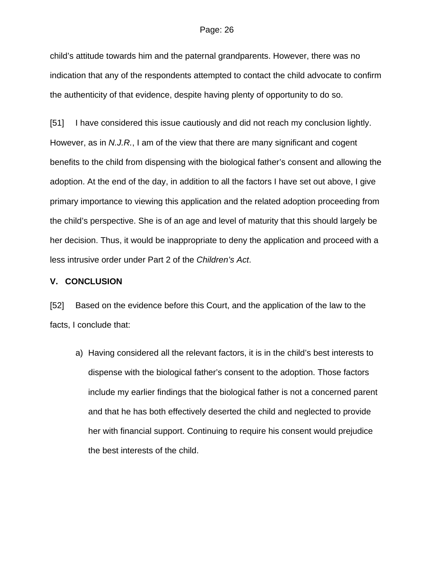child's attitude towards him and the paternal grandparents. However, there was no indication that any of the respondents attempted to contact the child advocate to confirm the authenticity of that evidence, despite having plenty of opportunity to do so.

[51] I have considered this issue cautiously and did not reach my conclusion lightly. However, as in *N.J.R.*, I am of the view that there are many significant and cogent benefits to the child from dispensing with the biological father's consent and allowing the adoption. At the end of the day, in addition to all the factors I have set out above, I give primary importance to viewing this application and the related adoption proceeding from the child's perspective. She is of an age and level of maturity that this should largely be her decision. Thus, it would be inappropriate to deny the application and proceed with a less intrusive order under Part 2 of the *Children's Act*.

### **V. CONCLUSION**

[52] Based on the evidence before this Court, and the application of the law to the facts, I conclude that:

a) Having considered all the relevant factors, it is in the child's best interests to dispense with the biological father's consent to the adoption. Those factors include my earlier findings that the biological father is not a concerned parent and that he has both effectively deserted the child and neglected to provide her with financial support. Continuing to require his consent would prejudice the best interests of the child.